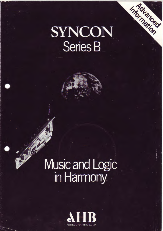## SYNCON Series B

Information

## Music and Logic in Harmony.

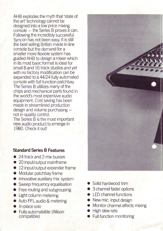AHB explodes the myth that 'state of the art' technology cannot be designed into a low price mixing console - the Series B proves it can. Following the incredibly successful Syncon has not been easy. It is still the best selling British made in-line console but the demand for a smaller more flexible system has guided AHB to design a mixer which in its most basic format is ideal for small 8 and 16 track studios and yet with no factory modification can be expanded to a 44/24 fully automated console with full function patch bay. The Series B utilizes many of the chips and mechanical parts found in the world's most expensive audio equipment. Cost saving has been made in streamlined production design and volume purchasing not in quality control. The Series B is the most important

new audio product to emerge in 1980. Check it out!

## **Standard Series B Features**

- 24 track and 2 mix busses
- 20 input/output mainframe
- 12 input/output expander frame
- Modular patchbay frame
- **Innovative auxiliary mix system**
- Sweep frequency equalisation
- Free routing and subgrouping
- Light column metering
- Auto PFL audio & metering
- In-place solo
- Fully automatable (Allison compatible)
- Solid hardwood trim
- 3 channel fader options
- LED channel functions
- New mic. input design
- Monitor channel effects mixing
- **High slew rate**
- Full function monitoring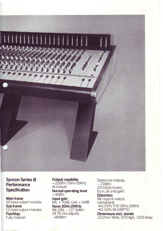

**Syncon Series B Performance Specification** 

**Main frame** 20 input output modules **Sub frame**  12 input output modules **Patch bay**  Fully modular

**Output capability**  + 22dBm 20Hz-20KHz all outputs **Normal operating level**   $+4d$ Bm **Input gain**  Mic  $+70$ dB, Line  $+10$ dB **Noise 20Hz-20KHz** 

Mic EIN; -127.5dBm 24 TK mix outputs;  $-89$ d $Bm$ 

Stereo mix outputs;  $-72$ d $Bm$ (20 inputs routed, Eq in, at unity gain) **Distortion**  Mic input to output, normal level <0.05% THO 20Hz-20KHz <0.02% IM (SMPTE) **Dimensions excl. stands**  1212mm Wide, 373 High, 1023 Deep